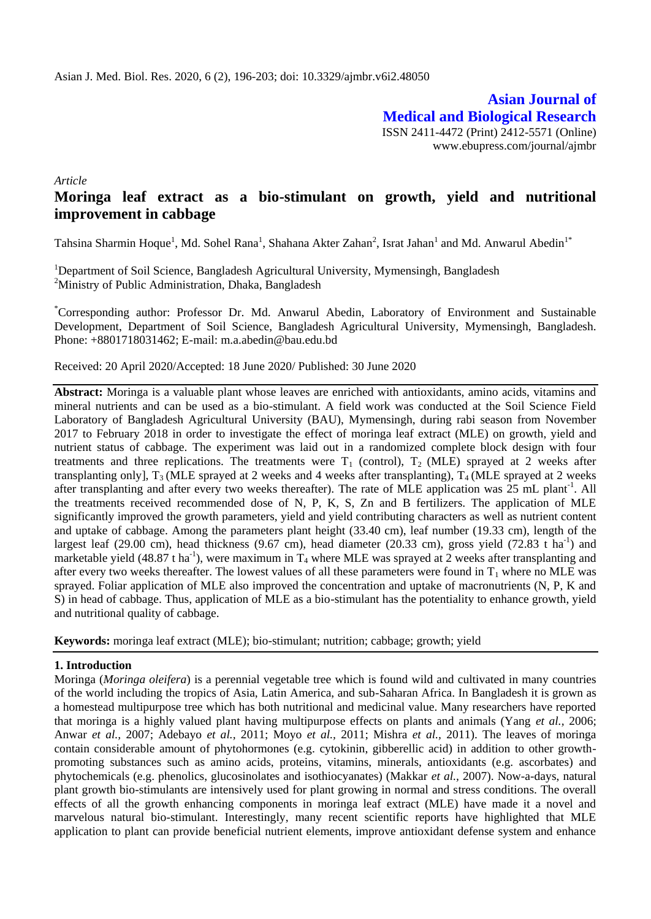**Asian Journal of Medical and Biological Research** ISSN 2411-4472 (Print) 2412-5571 (Online) www.ebupress.com/journal/ajmbr

*Article*

# **Moringa leaf extract as a bio-stimulant on growth, yield and nutritional improvement in cabbage**

Tahsina Sharmin Hoque<sup>1</sup>, Md. Sohel Rana<sup>1</sup>, Shahana Akter Zahan<sup>2</sup>, Israt Jahan<sup>1</sup> and Md. Anwarul Abedin<sup>1\*</sup>

<sup>1</sup>Department of Soil Science, Bangladesh Agricultural University, Mymensingh, Bangladesh <sup>2</sup>Ministry of Public Administration, Dhaka, Bangladesh

\*Corresponding author: Professor Dr. Md. Anwarul Abedin, Laboratory of Environment and Sustainable Development, Department of Soil Science, Bangladesh Agricultural University, Mymensingh, Bangladesh. Phone: +8801718031462; E-mail: m.a.abedin@bau.edu.bd

Received: 20 April 2020/Accepted: 18 June 2020/ Published: 30 June 2020

**Abstract:** Moringa is a valuable plant whose leaves are enriched with antioxidants, amino acids, vitamins and mineral nutrients and can be used as a bio-stimulant. A field work was conducted at the Soil Science Field Laboratory of Bangladesh Agricultural University (BAU), Mymensingh, during rabi season from November 2017 to February 2018 in order to investigate the effect of moringa leaf extract (MLE) on growth, yield and nutrient status of cabbage. The experiment was laid out in a randomized complete block design with four treatments and three replications. The treatments were  $T_1$  (control),  $T_2$  (MLE) sprayed at 2 weeks after transplanting only],  $T_3$  (MLE sprayed at 2 weeks and 4 weeks after transplanting),  $T_4$  (MLE sprayed at 2 weeks after transplanting and after every two weeks thereafter). The rate of MLE application was 25 mL plant<sup>-1</sup>. All the treatments received recommended dose of N, P, K, S, Zn and B fertilizers. The application of MLE significantly improved the growth parameters, yield and yield contributing characters as well as nutrient content and uptake of cabbage. Among the parameters plant height (33.40 cm), leaf number (19.33 cm), length of the largest leaf (29.00 cm), head thickness (9.67 cm), head diameter (20.33 cm), gross yield (72.83 t ha<sup>-1</sup>) and marketable yield (48.87 t ha<sup>-1</sup>), were maximum in  $T_4$  where MLE was sprayed at 2 weeks after transplanting and after every two weeks thereafter. The lowest values of all these parameters were found in  $T_1$  where no MLE was sprayed. Foliar application of MLE also improved the concentration and uptake of macronutrients (N, P, K and S) in head of cabbage. Thus, application of MLE as a bio-stimulant has the potentiality to enhance growth, yield and nutritional quality of cabbage.

**Keywords:** moringa leaf extract (MLE); bio-stimulant; nutrition; cabbage; growth; yield

## **1. Introduction**

Moringa (*Moringa oleifera*) is a perennial vegetable tree which is found wild and cultivated in many countries of the world including the tropics of Asia, Latin America, and sub-Saharan Africa. In Bangladesh it is grown as a homestead multipurpose tree which has both nutritional and medicinal value. Many researchers have reported that moringa is a highly valued plant having multipurpose effects on plants and animals (Yang *et al.,* 2006; Anwar *et al.,* 2007; Adebayo *et al.,* 2011; Moyo *et al.,* 2011; Mishra *et al.,* 2011). The leaves of moringa contain considerable amount of phytohormones (e.g. cytokinin, gibberellic acid) in addition to other growthpromoting substances such as amino acids, proteins, vitamins, minerals, antioxidants (e.g. ascorbates) and phytochemicals (e.g. phenolics, glucosinolates and isothiocyanates) (Makkar *et al.,* 2007). Now-a-days, natural plant growth bio-stimulants are intensively used for plant growing in normal and stress conditions. The overall effects of all the growth enhancing components in moringa leaf extract (MLE) have made it a novel and marvelous natural bio-stimulant. Interestingly, many recent scientific reports have highlighted that MLE application to plant can provide beneficial nutrient elements, improve antioxidant defense system and enhance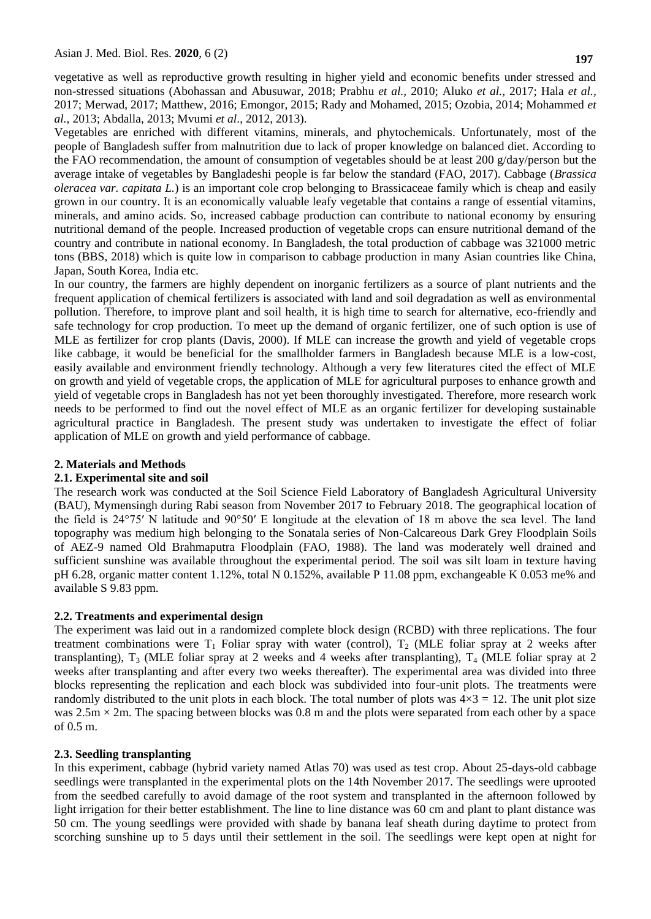vegetative as well as reproductive growth resulting in higher yield and economic benefits under stressed and non-stressed situations (Abohassan and Abusuwar, 2018; Prabhu *et al.,* 2010; Aluko *et al.,* 2017; Hala *et al.,* 2017; Merwad, 2017; Matthew, 2016; Emongor, 2015; Rady and Mohamed, 2015; Ozobia, 2014; Mohammed *et al.,* 2013; Abdalla, 2013; Mvumi *et al*., 2012, 2013).

Vegetables are enriched with different vitamins, minerals, and phytochemicals. Unfortunately, most of the people of Bangladesh suffer from malnutrition due to lack of proper knowledge on balanced diet. According to the FAO recommendation, the amount of consumption of vegetables should be at least 200 g/day/person but the average intake of vegetables by Bangladeshi people is far below the standard (FAO, 2017). Cabbage (*Brassica oleracea var. capitata L.*) is an important cole crop belonging to Brassicaceae family which is cheap and easily grown in our country. It is an economically valuable leafy vegetable that contains a range of essential vitamins, minerals, and amino acids. So, increased cabbage production can contribute to national economy by ensuring nutritional demand of the people. Increased production of vegetable crops can ensure nutritional demand of the country and contribute in national economy. In Bangladesh, the total production of cabbage was 321000 metric tons (BBS, 2018) which is quite low in comparison to cabbage production in many Asian countries like China, Japan, South Korea, India etc.

In our country, the farmers are highly dependent on inorganic fertilizers as a source of plant nutrients and the frequent application of chemical fertilizers is associated with land and soil degradation as well as environmental pollution. Therefore, to improve plant and soil health, it is high time to search for alternative, eco-friendly and safe technology for crop production. To meet up the demand of organic fertilizer, one of such option is use of MLE as fertilizer for crop plants (Davis, 2000). If MLE can increase the growth and yield of vegetable crops like cabbage, it would be beneficial for the smallholder farmers in Bangladesh because MLE is a low-cost, easily available and environment friendly technology. Although a very few literatures cited the effect of MLE on growth and yield of vegetable crops, the application of MLE for agricultural purposes to enhance growth and yield of vegetable crops in Bangladesh has not yet been thoroughly investigated. Therefore, more research work needs to be performed to find out the novel effect of MLE as an organic fertilizer for developing sustainable agricultural practice in Bangladesh. The present study was undertaken to investigate the effect of foliar application of MLE on growth and yield performance of cabbage.

#### **2. Materials and Methods**

#### **2.1. Experimental site and soil**

The research work was conducted at the Soil Science Field Laboratory of Bangladesh Agricultural University (BAU), Mymensingh during Rabi season from November 2017 to February 2018. The geographical location of the field is 24°75′ N latitude and 90°50′ E longitude at the elevation of 18 m above the sea level. The land topography was medium high belonging to the Sonatala series of Non-Calcareous Dark Grey Floodplain Soils of AEZ-9 named Old Brahmaputra Floodplain (FAO, 1988). The land was moderately well drained and sufficient sunshine was available throughout the experimental period. The soil was silt loam in texture having pH 6.28, organic matter content 1.12%, total N 0.152%, available P 11.08 ppm, exchangeable K 0.053 me% and available S 9.83 ppm.

#### **2.2. Treatments and experimental design**

The experiment was laid out in a randomized complete block design (RCBD) with three replications. The four treatment combinations were  $T_1$  Foliar spray with water (control),  $T_2$  (MLE foliar spray at 2 weeks after transplanting),  $T_3$  (MLE foliar spray at 2 weeks and 4 weeks after transplanting),  $T_4$  (MLE foliar spray at 2 weeks after transplanting and after every two weeks thereafter). The experimental area was divided into three blocks representing the replication and each block was subdivided into four-unit plots. The treatments were randomly distributed to the unit plots in each block. The total number of plots was  $4\times3 = 12$ . The unit plot size was  $2.5$ m  $\times$  2m. The spacing between blocks was 0.8 m and the plots were separated from each other by a space of 0.5 m.

#### **2.3. Seedling transplanting**

In this experiment, cabbage (hybrid variety named Atlas 70) was used as test crop. About 25-days-old cabbage seedlings were transplanted in the experimental plots on the 14th November 2017. The seedlings were uprooted from the seedbed carefully to avoid damage of the root system and transplanted in the afternoon followed by light irrigation for their better establishment. The line to line distance was 60 cm and plant to plant distance was 50 cm. The young seedlings were provided with shade by banana leaf sheath during daytime to protect from scorching sunshine up to 5 days until their settlement in the soil. The seedlings were kept open at night for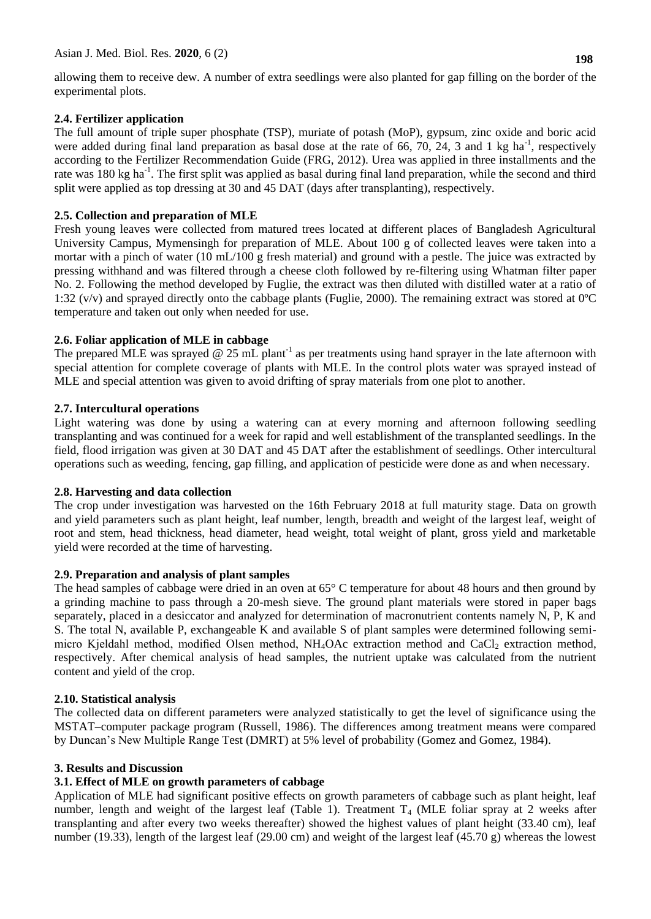allowing them to receive dew. A number of extra seedlings were also planted for gap filling on the border of the experimental plots.

# **2.4. Fertilizer application**

The full amount of triple super phosphate (TSP), muriate of potash (MoP), gypsum, zinc oxide and boric acid were added during final land preparation as basal dose at the rate of 66, 70, 24, 3 and 1 kg ha<sup>-1</sup>, respectively according to the Fertilizer Recommendation Guide (FRG, 2012). Urea was applied in three installments and the rate was 180 kg ha<sup>-1</sup>. The first split was applied as basal during final land preparation, while the second and third split were applied as top dressing at 30 and 45 DAT (days after transplanting), respectively.

## **2.5. Collection and preparation of MLE**

Fresh young leaves were collected from matured trees located at different places of Bangladesh Agricultural University Campus, Mymensingh for preparation of MLE. About 100 g of collected leaves were taken into a mortar with a pinch of water (10 mL/100 g fresh material) and ground with a pestle. The juice was extracted by pressing withhand and was filtered through a cheese cloth followed by re-filtering using Whatman filter paper No. 2. Following the method developed by Fuglie, the extract was then diluted with distilled water at a ratio of 1:32 (v/v) and sprayed directly onto the cabbage plants (Fuglie, 2000). The remaining extract was stored at 0ºC temperature and taken out only when needed for use.

## **2.6. Foliar application of MLE in cabbage**

The prepared MLE was sprayed @ 25 mL plant<sup>-1</sup> as per treatments using hand sprayer in the late afternoon with special attention for complete coverage of plants with MLE. In the control plots water was sprayed instead of MLE and special attention was given to avoid drifting of spray materials from one plot to another.

## **2.7. Intercultural operations**

Light watering was done by using a watering can at every morning and afternoon following seedling transplanting and was continued for a week for rapid and well establishment of the transplanted seedlings. In the field, flood irrigation was given at 30 DAT and 45 DAT after the establishment of seedlings. Other intercultural operations such as weeding, fencing, gap filling, and application of pesticide were done as and when necessary.

## **2.8. Harvesting and data collection**

The crop under investigation was harvested on the 16th February 2018 at full maturity stage. Data on growth and yield parameters such as plant height, leaf number, length, breadth and weight of the largest leaf, weight of root and stem, head thickness, head diameter, head weight, total weight of plant, gross yield and marketable yield were recorded at the time of harvesting.

## **2.9. Preparation and analysis of plant samples**

The head samples of cabbage were dried in an oven at 65° C temperature for about 48 hours and then ground by a grinding machine to pass through a 20-mesh sieve. The ground plant materials were stored in paper bags separately, placed in a desiccator and analyzed for determination of macronutrient contents namely N, P, K and S. The total N, available P, exchangeable K and available S of plant samples were determined following semimicro Kjeldahl method, modified Olsen method,  $NH<sub>4</sub>OAc$  extraction method and CaCl<sub>2</sub> extraction method, respectively. After chemical analysis of head samples, the nutrient uptake was calculated from the nutrient content and yield of the crop.

## **2.10. Statistical analysis**

The collected data on different parameters were analyzed statistically to get the level of significance using the MSTAT–computer package program (Russell, 1986). The differences among treatment means were compared by Duncan"s New Multiple Range Test (DMRT) at 5% level of probability (Gomez and Gomez, 1984).

# **3. Results and Discussion**

# **3.1. Effect of MLE on growth parameters of cabbage**

Application of MLE had significant positive effects on growth parameters of cabbage such as plant height, leaf number, length and weight of the largest leaf (Table 1). Treatment  $T_4$  (MLE foliar spray at 2 weeks after transplanting and after every two weeks thereafter) showed the highest values of plant height (33.40 cm), leaf number (19.33), length of the largest leaf (29.00 cm) and weight of the largest leaf (45.70 g) whereas the lowest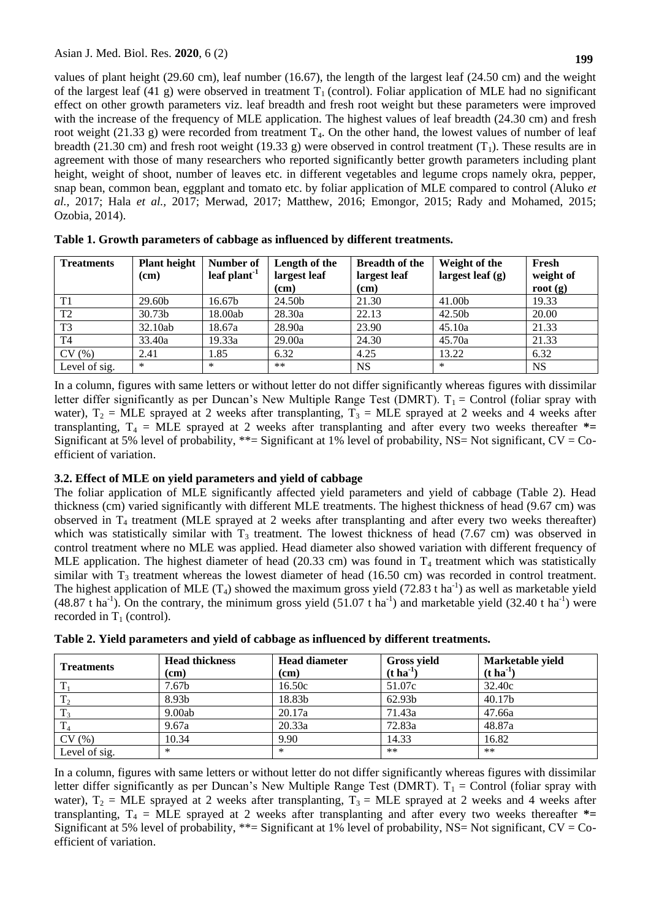values of plant height (29.60 cm), leaf number (16.67), the length of the largest leaf (24.50 cm) and the weight of the largest leaf (41 g) were observed in treatment  $T_1$  (control). Foliar application of MLE had no significant effect on other growth parameters viz. leaf breadth and fresh root weight but these parameters were improved with the increase of the frequency of MLE application. The highest values of leaf breadth (24.30 cm) and fresh root weight (21.33 g) were recorded from treatment  $T_4$ . On the other hand, the lowest values of number of leaf breadth (21.30 cm) and fresh root weight (19.33 g) were observed in control treatment (T<sub>1</sub>). These results are in agreement with those of many researchers who reported significantly better growth parameters including plant height, weight of shoot, number of leaves etc. in different vegetables and legume crops namely okra, pepper, snap bean, common bean, eggplant and tomato etc. by foliar application of MLE compared to control (Aluko *et al.,* 2017; Hala *et al.,* 2017; Merwad, 2017; Matthew, 2016; Emongor, 2015; Rady and Mohamed, 2015; Ozobia, 2014).

| <b>Treatments</b> | <b>Plant height</b><br>(cm) | Number of<br>leaf plant $-1$ | Length of the<br>largest leaf<br>$\rm (cm)$ | <b>Breadth of the</b><br>largest leaf<br>(cm) | Weight of the<br>largest leaf $(g)$ | Fresh<br>weight of<br>root $(g)$ |
|-------------------|-----------------------------|------------------------------|---------------------------------------------|-----------------------------------------------|-------------------------------------|----------------------------------|
| T <sub>1</sub>    | 29.60b                      | 16.67b                       | 24.50b                                      | 21.30                                         | 41.00b                              | 19.33                            |
| T <sub>2</sub>    | 30.73b                      | 18.00ab                      | 28.30a                                      | 22.13                                         | 42.50b                              | 20.00                            |
| T <sub>3</sub>    | 32.10ab                     | 18.67a                       | 28.90a                                      | 23.90                                         | 45.10a                              | 21.33                            |
| T <sub>4</sub>    | 33.40a                      | 19.33a                       | 29.00a                                      | 24.30                                         | 45.70a                              | 21.33                            |
| CV(%)             | 2.41                        | 1.85                         | 6.32                                        | 4.25                                          | 13.22                               | 6.32                             |
| Level of sig.     | $\ast$                      | $\ast$                       | $***$                                       | <b>NS</b>                                     | $\ast$                              | <b>NS</b>                        |

|  | Table 1. Growth parameters of cabbage as influenced by different treatments. |  |  |
|--|------------------------------------------------------------------------------|--|--|
|  |                                                                              |  |  |

In a column, figures with same letters or without letter do not differ significantly whereas figures with dissimilar letter differ significantly as per Duncan's New Multiple Range Test (DMRT).  $T_1 =$  Control (foliar spray with water),  $T_2$  = MLE sprayed at 2 weeks after transplanting,  $T_3$  = MLE sprayed at 2 weeks and 4 weeks after transplanting,  $T_4$  = MLE sprayed at 2 weeks after transplanting and after every two weeks thereafter  $*$ = Significant at 5% level of probability, \*\*= Significant at 1% level of probability, NS= Not significant, CV = Coefficient of variation.

# **3.2. Effect of MLE on yield parameters and yield of cabbage**

The foliar application of MLE significantly affected yield parameters and yield of cabbage (Table 2). Head thickness (cm) varied significantly with different MLE treatments. The highest thickness of head (9.67 cm) was observed in  $T_4$  treatment (MLE sprayed at 2 weeks after transplanting and after every two weeks thereafter) which was statistically similar with  $T_3$  treatment. The lowest thickness of head (7.67 cm) was observed in control treatment where no MLE was applied. Head diameter also showed variation with different frequency of MLE application. The highest diameter of head (20.33 cm) was found in  $T_4$  treatment which was statistically similar with  $T_3$  treatment whereas the lowest diameter of head (16.50 cm) was recorded in control treatment. The highest application of MLE (T<sub>4</sub>) showed the maximum gross yield (72.83 t ha<sup>-1</sup>) as well as marketable yield  $(48.87 \text{ t} \text{ ha}^{-1})$ . On the contrary, the minimum gross yield  $(51.07 \text{ t} \text{ ha}^{-1})$  and marketable yield  $(32.40 \text{ t} \text{ ha}^{-1})$  were recorded in  $T_1$  (control).

| Table 2. Yield parameters and yield of cabbage as influenced by different treatments. |  |
|---------------------------------------------------------------------------------------|--|
|---------------------------------------------------------------------------------------|--|

| <b>Treatments</b> | <b>Head thickness</b><br>(cm) | <b>Head diameter</b><br>(cm) | <b>Gross yield</b><br>$(t \, \mathrm{ha}^{-1})$ | Marketable yield<br>$(t \, \mathrm{ha}^{-1})$ |
|-------------------|-------------------------------|------------------------------|-------------------------------------------------|-----------------------------------------------|
| ᠇᠇                | 7.67 <sub>b</sub>             | 16.50c                       | 51.07c                                          | 32.40c                                        |
| T <sub>2</sub>    | 8.93b                         | 18.83b                       | 62.93b                                          | 40.17b                                        |
| $T_3$             | 9.00ab                        | 20.17a                       | 71.43a                                          | 47.66a                                        |
| $T_A$             | 9.67a                         | 20.33a                       | 72.83a                                          | 48.87a                                        |
| CV(%)             | 10.34                         | 9.90                         | 14.33                                           | 16.82                                         |
| Level of sig.     | *                             | ∗                            | $**$                                            | $***$                                         |

In a column, figures with same letters or without letter do not differ significantly whereas figures with dissimilar letter differ significantly as per Duncan's New Multiple Range Test (DMRT).  $T_1$  = Control (foliar spray with water),  $T_2$  = MLE sprayed at 2 weeks after transplanting,  $T_3$  = MLE sprayed at 2 weeks and 4 weeks after transplanting,  $T_4$  = MLE sprayed at 2 weeks after transplanting and after every two weeks thereafter  $*$ = Significant at 5% level of probability, \*\*= Significant at 1% level of probability, NS= Not significant,  $CV = Co$ efficient of variation.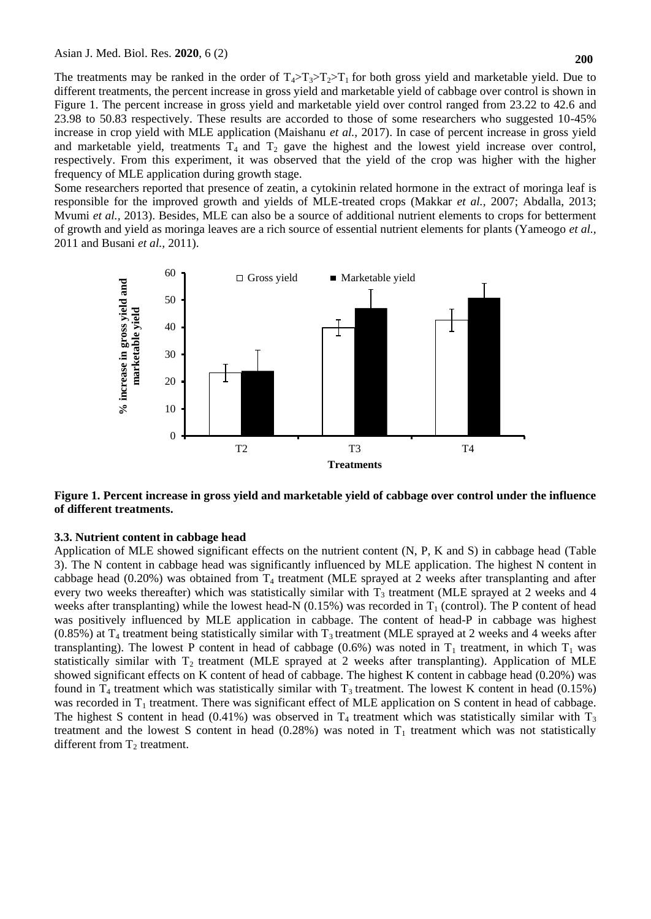The treatments may be ranked in the order of  $T_4 > T_3 > T_2 > T_1$  for both gross yield and marketable yield. Due to different treatments, the percent increase in gross yield and marketable yield of cabbage over control is shown in Figure 1. The percent increase in gross yield and marketable yield over control ranged from 23.22 to 42.6 and 23.98 to 50.83 respectively. These results are accorded to those of some researchers who suggested 10-45% increase in crop yield with MLE application (Maishanu *et al.,* 2017). In case of percent increase in gross yield and marketable yield, treatments  $T_4$  and  $T_2$  gave the highest and the lowest yield increase over control, respectively. From this experiment, it was observed that the yield of the crop was higher with the higher frequency of MLE application during growth stage.

Some researchers reported that presence of zeatin, a cytokinin related hormone in the extract of moringa leaf is responsible for the improved growth and yields of MLE-treated crops (Makkar *et al.,* 2007; Abdalla, 2013; Mvumi *et al.,* 2013). Besides, MLE can also be a source of additional nutrient elements to crops for betterment of growth and yield as moringa leaves are a rich source of essential nutrient elements for plants (Yameogo *et al.,* 2011 and Busani *et al.,* 2011).



**Figure 1. Percent increase in gross yield and marketable yield of cabbage over control under the influence of different treatments.**

#### **3.3. Nutrient content in cabbage head**

Application of MLE showed significant effects on the nutrient content (N, P, K and S) in cabbage head (Table 3). The N content in cabbage head was significantly influenced by MLE application. The highest N content in cabbage head  $(0.20\%)$  was obtained from  $T_4$  treatment (MLE sprayed at 2 weeks after transplanting and after every two weeks thereafter) which was statistically similar with  $T<sub>3</sub>$  treatment (MLE sprayed at 2 weeks and 4 weeks after transplanting) while the lowest head-N  $(0.15%)$  was recorded in T<sub>1</sub> (control). The P content of head was positively influenced by MLE application in cabbage. The content of head-P in cabbage was highest  $(0.85%)$  at T<sub>4</sub> treatment being statistically similar with T<sub>3</sub> treatment (MLE sprayed at 2 weeks and 4 weeks after transplanting). The lowest P content in head of cabbage (0.6%) was noted in  $T_1$  treatment, in which  $T_1$  was statistically similar with  $T_2$  treatment (MLE sprayed at 2 weeks after transplanting). Application of MLE showed significant effects on K content of head of cabbage. The highest K content in cabbage head (0.20%) was found in  $T_4$  treatment which was statistically similar with  $T_3$  treatment. The lowest K content in head (0.15%) was recorded in  $T_1$  treatment. There was significant effect of MLE application on S content in head of cabbage. The highest S content in head (0.41%) was observed in  $T_4$  treatment which was statistically similar with  $T_3$ treatment and the lowest S content in head  $(0.28%)$  was noted in T<sub>1</sub> treatment which was not statistically different from  $T_2$  treatment.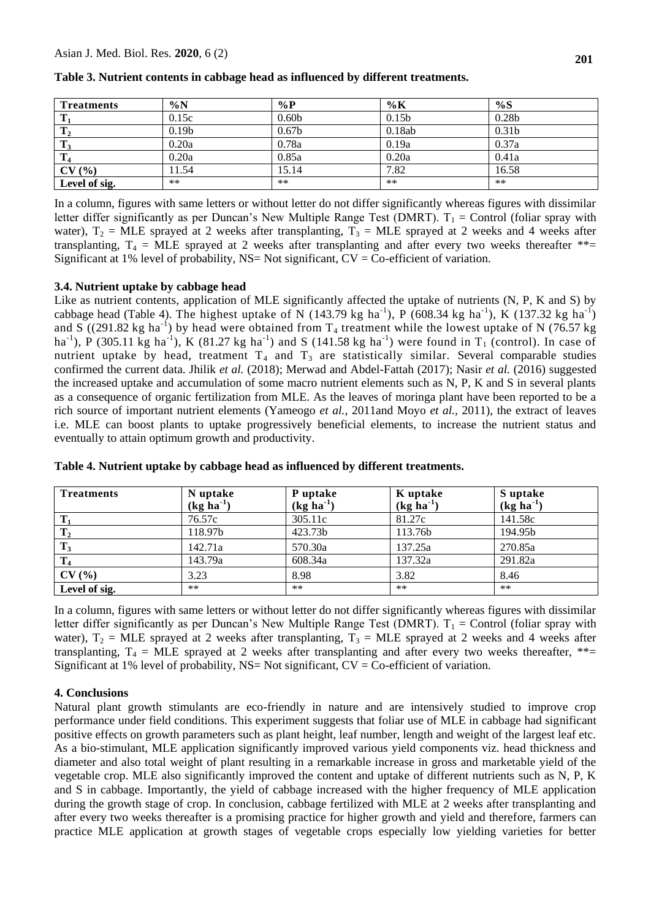| <b>Treatments</b> | $\%N$             | $\%P$             | $\%K$             | %S                |
|-------------------|-------------------|-------------------|-------------------|-------------------|
| Т                 | 0.15c             | 0.60b             | 0.15 <sub>b</sub> | 0.28 <sub>b</sub> |
| $\mathbf{T}_2$    | 0.19 <sub>b</sub> | 0.67 <sub>b</sub> | 0.18ab            | 0.31 <sub>b</sub> |
| $T_3$             | 0.20a             | 0.78a             | 0.19a             | 0.37a             |
| T <sub>4</sub>    | 0.20a             | 0.85a             | 0.20a             | 0.41a             |
| CV(%)             | 11.54             | 15.14             | 7.82              | 16.58             |
| Level of sig.     | **                | $***$             | **                | $***$             |

**Table 3. Nutrient contents in cabbage head as influenced by different treatments.**

In a column, figures with same letters or without letter do not differ significantly whereas figures with dissimilar letter differ significantly as per Duncan's New Multiple Range Test (DMRT).  $T_1$  = Control (foliar spray with water),  $T_2$  = MLE sprayed at 2 weeks after transplanting,  $T_3$  = MLE sprayed at 2 weeks and 4 weeks after transplanting,  $T_4$  = MLE sprayed at 2 weeks after transplanting and after every two weeks thereafter  $**$ Significant at 1% level of probability,  $NS = Not$  significant,  $CV = Co$ -efficient of variation.

## **3.4. Nutrient uptake by cabbage head**

Like as nutrient contents, application of MLE significantly affected the uptake of nutrients (N, P, K and S) by cabbage head (Table 4). The highest uptake of N (143.79 kg ha<sup>-1</sup>), P (608.34 kg ha<sup>-1</sup>), K (137.32 kg ha<sup>-1</sup>) and S ((291.82 kg ha<sup>-1</sup>) by head were obtained from  $T_4$  treatment while the lowest uptake of N (76.57 kg ha<sup>-1</sup>), P (305.11 kg ha<sup>-1</sup>), K (81.27 kg ha<sup>-1</sup>) and S (141.58 kg ha<sup>-1</sup>) were found in T<sub>1</sub> (control). In case of nutrient uptake by head, treatment  $T_4$  and  $T_3$  are statistically similar. Several comparable studies confirmed the current data. Jhilik *et al.* (2018); Merwad and Abdel-Fattah (2017); Nasir *et al.* (2016) suggested the increased uptake and accumulation of some macro nutrient elements such as N, P, K and S in several plants as a consequence of organic fertilization from MLE. As the leaves of moringa plant have been reported to be a rich source of important nutrient elements (Yameogo *et al.,* 2011and Moyo *et al.,* 2011), the extract of leaves i.e. MLE can boost plants to uptake progressively beneficial elements, to increase the nutrient status and eventually to attain optimum growth and productivity.

| <b>Treatments</b> | N uptake<br>$(kg ha-1)$ | P uptake<br>$(kg ha-1)$ | K uptake<br>$(kg ha-1)$ | S uptake<br>$(kg ha-1)$ |
|-------------------|-------------------------|-------------------------|-------------------------|-------------------------|
| $T_1$             | 76.57c                  | 305.11c                 | 81.27c                  | 141.58c                 |
| $\mathbf{T}_2$    | 118.97b                 | 423.73b                 | 113.76b                 | 194.95 <sub>b</sub>     |
| $T_3$             | 142.71a                 | 570.30a                 | 137.25a                 | 270.85a                 |
| $T_4$             | 143.79a                 | 608.34a                 | 137.32a                 | 291.82a                 |
| CV(%)             | 3.23                    | 8.98                    | 3.82                    | 8.46                    |
| Level of sig.     | $***$                   | $***$                   | $***$                   | $***$                   |

**Table 4. Nutrient uptake by cabbage head as influenced by different treatments.**

In a column, figures with same letters or without letter do not differ significantly whereas figures with dissimilar letter differ significantly as per Duncan's New Multiple Range Test (DMRT).  $T_1$  = Control (foliar spray with water),  $T_2$  = MLE sprayed at 2 weeks after transplanting,  $T_3$  = MLE sprayed at 2 weeks and 4 weeks after transplanting,  $T_4$  = MLE sprayed at 2 weeks after transplanting and after every two weeks thereafter, \*\*= Significant at 1% level of probability,  $NS = Not$  significant,  $CV = Co$ -efficient of variation.

## **4. Conclusions**

Natural plant growth stimulants are eco-friendly in nature and are intensively studied to improve crop performance under field conditions. This experiment suggests that foliar use of MLE in cabbage had significant positive effects on growth parameters such as plant height, leaf number, length and weight of the largest leaf etc. As a bio-stimulant, MLE application significantly improved various yield components viz. head thickness and diameter and also total weight of plant resulting in a remarkable increase in gross and marketable yield of the vegetable crop. MLE also significantly improved the content and uptake of different nutrients such as N, P, K and S in cabbage. Importantly, the yield of cabbage increased with the higher frequency of MLE application during the growth stage of crop. In conclusion, cabbage fertilized with MLE at 2 weeks after transplanting and after every two weeks thereafter is a promising practice for higher growth and yield and therefore, farmers can practice MLE application at growth stages of vegetable crops especially low yielding varieties for better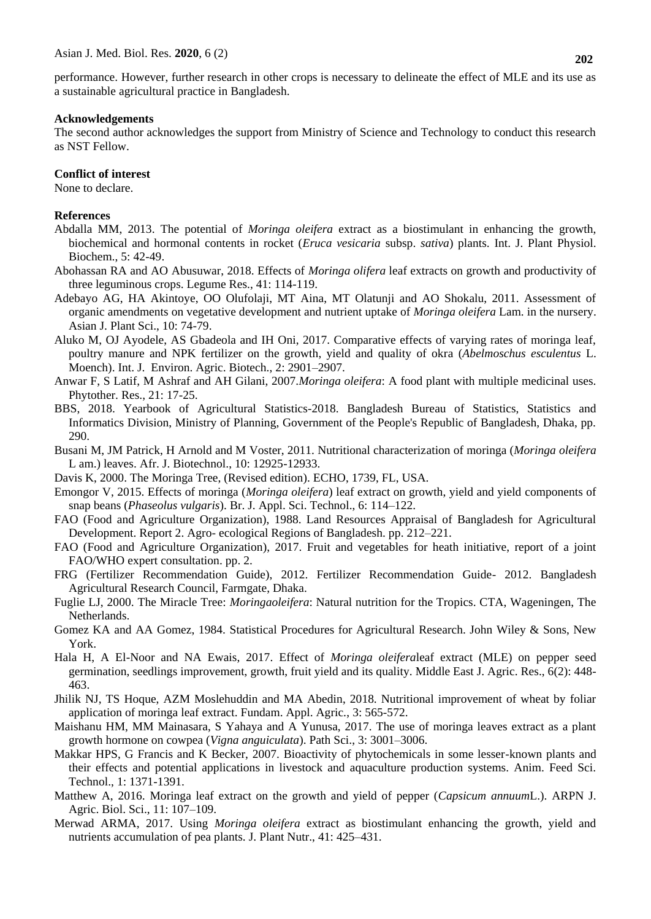performance. However, further research in other crops is necessary to delineate the effect of MLE and its use as a sustainable agricultural practice in Bangladesh.

## **Acknowledgements**

The second author acknowledges the support from Ministry of Science and Technology to conduct this research as NST Fellow.

## **Conflict of interest**

None to declare.

## **References**

- Abdalla MM, 2013. The potential of *Moringa oleifera* extract as a biostimulant in enhancing the growth, biochemical and hormonal contents in rocket (*Eruca vesicaria* subsp. *sativa*) plants. Int. J. Plant Physiol. Biochem., 5: 42-49.
- Abohassan RA and AO Abusuwar, 2018. Effects of *Moringa olifera* leaf extracts on growth and productivity of three leguminous crops. Legume Res., 41: 114-119.
- Adebayo AG, HA Akintoye, OO Olufolaji, MT Aina, MT Olatunji and AO Shokalu, 2011. Assessment of organic amendments on vegetative development and nutrient uptake of *Moringa oleifera* Lam. in the nursery. Asian J. Plant Sci., 10: 74-79.
- Aluko M, OJ Ayodele, AS Gbadeola and IH Oni, 2017. Comparative effects of varying rates of moringa leaf, poultry manure and NPK fertilizer on the growth, yield and quality of okra (*Abelmoschus esculentus* L. Moench). Int. J. Environ. Agric. Biotech., 2: 2901–2907.
- Anwar F, S Latif, M Ashraf and AH Gilani, 2007.*Moringa oleifera*: A food plant with multiple medicinal uses. Phytother. Res., 21: 17-25.
- BBS, 2018. Yearbook of Agricultural Statistics-2018. Bangladesh Bureau of Statistics, Statistics and Informatics Division, Ministry of Planning, Government of the People's Republic of Bangladesh, Dhaka, pp. 290.
- Busani M, JM Patrick, H Arnold and M Voster, 2011. Nutritional characterization of moringa (*Moringa oleifera*  L am.) leaves. Afr. J. Biotechnol., 10: 12925-12933.
- Davis K, 2000. The Moringa Tree, (Revised edition). ECHO, 1739, FL, USA.
- Emongor V, 2015. Effects of moringa (*Moringa oleifera*) leaf extract on growth, yield and yield components of snap beans (*Phaseolus vulgaris*). Br. J. Appl. Sci. Technol., 6: 114–122.
- FAO (Food and Agriculture Organization), 1988. Land Resources Appraisal of Bangladesh for Agricultural Development. Report 2. Agro- ecological Regions of Bangladesh. pp. 212–221.
- FAO (Food and Agriculture Organization), 2017. Fruit and vegetables for heath initiative, report of a joint FAO/WHO expert consultation. pp. 2.
- FRG (Fertilizer Recommendation Guide), 2012. Fertilizer Recommendation Guide- 2012. Bangladesh Agricultural Research Council, Farmgate, Dhaka.
- Fuglie LJ, 2000. The Miracle Tree: *Moringaoleifera*: Natural nutrition for the Tropics. CTA, Wageningen, The Netherlands.
- Gomez KA and AA Gomez, 1984. Statistical Procedures for Agricultural Research. John Wiley & Sons, New York.
- Hala H, A El-Noor and NA Ewais, 2017. Effect of *Moringa oleifera*leaf extract (MLE) on pepper seed germination, seedlings improvement, growth, fruit yield and its quality. Middle East J. Agric. Res., 6(2): 448- 463.
- Jhilik NJ, TS Hoque, AZM Moslehuddin and MA Abedin, 2018. Nutritional improvement of wheat by foliar application of moringa leaf extract. Fundam. Appl. Agric., 3: 565-572.
- Maishanu HM, MM Mainasara, S Yahaya and A Yunusa, 2017. The use of moringa leaves extract as a plant growth hormone on cowpea (*Vigna anguiculata*). Path Sci., 3: 3001–3006.
- Makkar HPS, G Francis and K Becker, 2007. Bioactivity of phytochemicals in some lesser-known plants and their effects and potential applications in livestock and aquaculture production systems. Anim. Feed Sci. Technol., 1: 1371-1391.
- Matthew A, 2016. Moringa leaf extract on the growth and yield of pepper (*Capsicum annuum*L.). ARPN J. Agric. Biol. Sci., 11: 107–109.
- Merwad ARMA, 2017. Using *Moringa oleifera* extract as biostimulant enhancing the growth, yield and nutrients accumulation of pea plants. J. Plant Nutr., 41: 425–431.